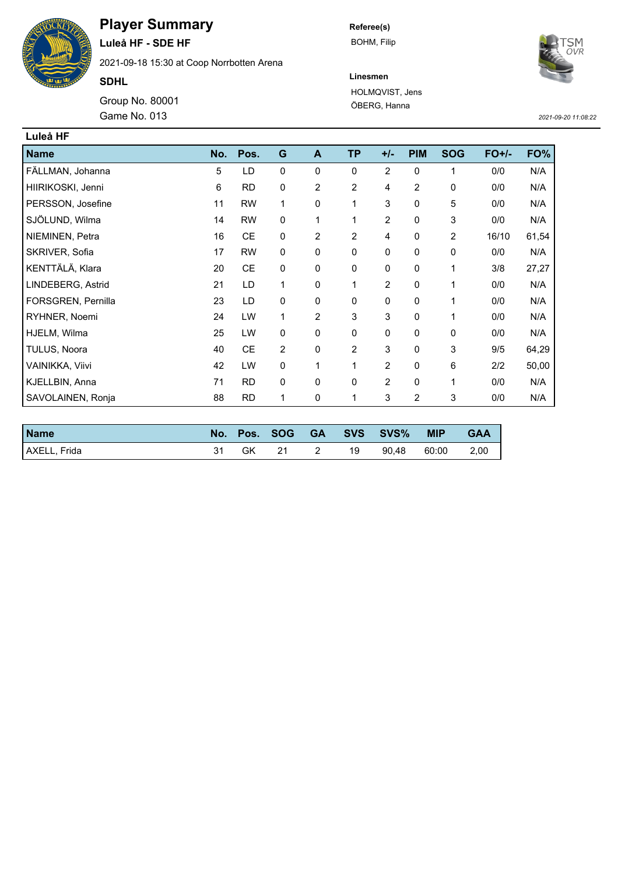

## **Player Summary**

**Luleå HF - SDE HF** 2021-09-18 15:30 at Coop Norrbotten Arena

**SDHL**

Game No. 013 Group No. 80001 **Referee(s)** BOHM, Filip



**Linesmen** HOLMQVIST, Jens ÖBERG, Hanna

*2021-09-20 11:08:22*

| Luleå HF           |     |           |                |                |                |                |                |                |         |       |
|--------------------|-----|-----------|----------------|----------------|----------------|----------------|----------------|----------------|---------|-------|
| <b>Name</b>        | No. | Pos.      | G              | A              | <b>TP</b>      | $+/-$          | <b>PIM</b>     | <b>SOG</b>     | $FO+/-$ | FO%   |
| FÄLLMAN, Johanna   | 5   | LD        | 0              | 0              | 0              | $\overline{2}$ | 0              | 1              | 0/0     | N/A   |
| HIIRIKOSKI, Jenni  | 6   | <b>RD</b> | 0              | $\overline{c}$ | $\overline{c}$ | 4              | $\overline{2}$ | $\pmb{0}$      | 0/0     | N/A   |
| PERSSON, Josefine  | 11  | <b>RW</b> | 1              | 0              | 1              | 3              | 0              | 5              | 0/0     | N/A   |
| SJÖLUND, Wilma     | 14  | <b>RW</b> | 0              | 1              | 1              | $\overline{2}$ | 0              | 3              | 0/0     | N/A   |
| NIEMINEN, Petra    | 16  | <b>CE</b> | 0              | 2              | $\overline{2}$ | 4              | 0              | $\overline{2}$ | 16/10   | 61,54 |
| SKRIVER, Sofia     | 17  | <b>RW</b> | $\mathbf 0$    | 0              | 0              | 0              | 0              | 0              | 0/0     | N/A   |
| KENTTÄLÄ, Klara    | 20  | <b>CE</b> | 0              | 0              | 0              | 0              | 0              | 1              | 3/8     | 27,27 |
| LINDEBERG, Astrid  | 21  | LD        | 1              | 0              | 1              | $\overline{2}$ | 0              | 1              | 0/0     | N/A   |
| FORSGREN, Pernilla | 23  | LD        | $\mathbf 0$    | 0              | 0              | 0              | 0              | 1              | 0/0     | N/A   |
| RYHNER, Noemi      | 24  | LW        | 1              | $\overline{2}$ | 3              | 3              | 0              | 1              | 0/0     | N/A   |
| HJELM, Wilma       | 25  | LW        | 0              | 0              | 0              | 0              | 0              | 0              | 0/0     | N/A   |
| TULUS, Noora       | 40  | <b>CE</b> | $\overline{c}$ | 0              | 2              | 3              | 0              | 3              | 9/5     | 64,29 |
| VAINIKKA, Viivi    | 42  | LW        | 0              | 1              | 1              | $\overline{2}$ | 0              | 6              | 2/2     | 50,00 |
| KJELLBIN, Anna     | 71  | <b>RD</b> | 0              | 0              | 0              | $\overline{2}$ | 0              | 1              | 0/0     | N/A   |
| SAVOLAINEN, Ronja  | 88  | <b>RD</b> | 1              | 0              | 1              | 3              | $\overline{2}$ | 3              | 0/0     | N/A   |

| <b>Name</b>  |    |     |     | No. Pos. SOG GA SVS SVS% | <b>MIP</b> | <b>GAA</b> |
|--------------|----|-----|-----|--------------------------|------------|------------|
| AXELL, Frida | GK | -21 | -19 | 90.48                    | 60:00      | 2,00       |